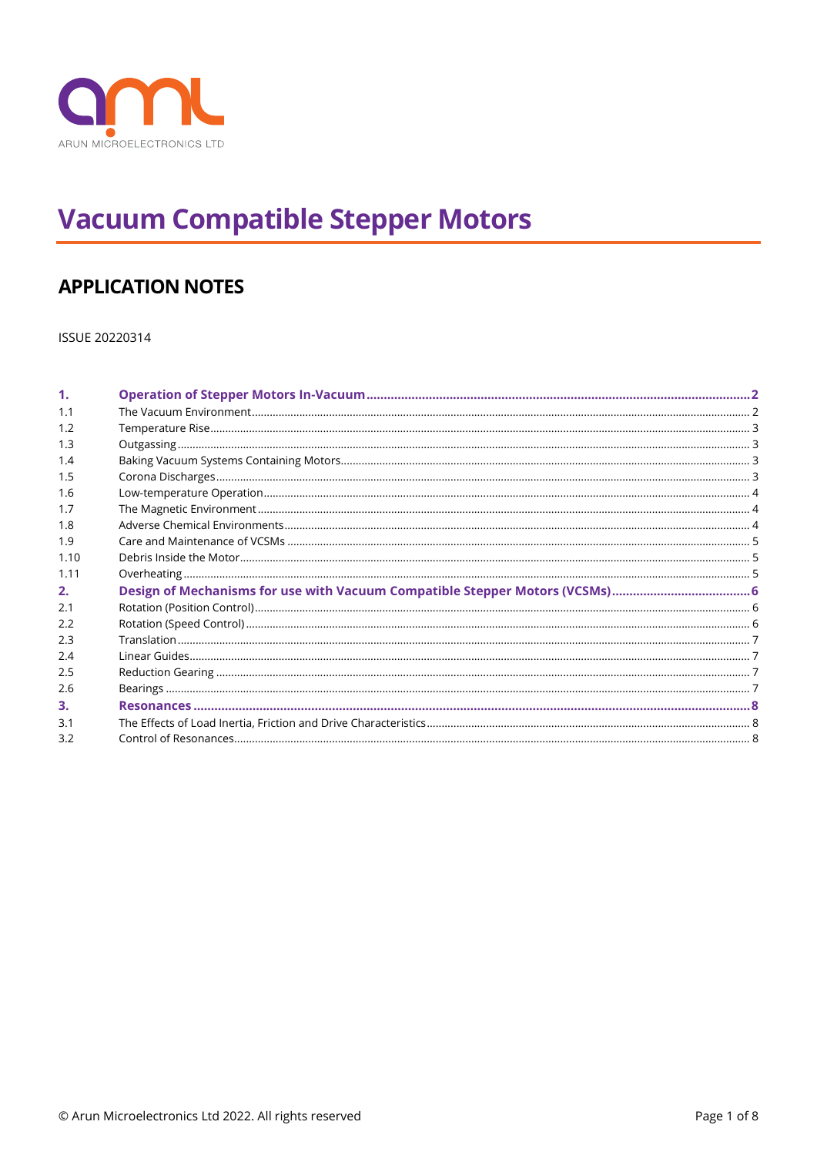

# **Vacuum Compatible Stepper Motors**

# **APPLICATION NOTES**

ISSUE 20220314

| 1.   |  |
|------|--|
| 1.1  |  |
| 1.2  |  |
| 1.3  |  |
| 1.4  |  |
| 1.5  |  |
| 1.6  |  |
| 1.7  |  |
| 1.8  |  |
| 1.9  |  |
| 1.10 |  |
| 1.11 |  |
| 2.   |  |
| 2.1  |  |
| 2.2  |  |
| 2.3  |  |
| 2.4  |  |
| 2.5  |  |
| 2.6  |  |
| 3.   |  |
| 3.1  |  |
|      |  |
|      |  |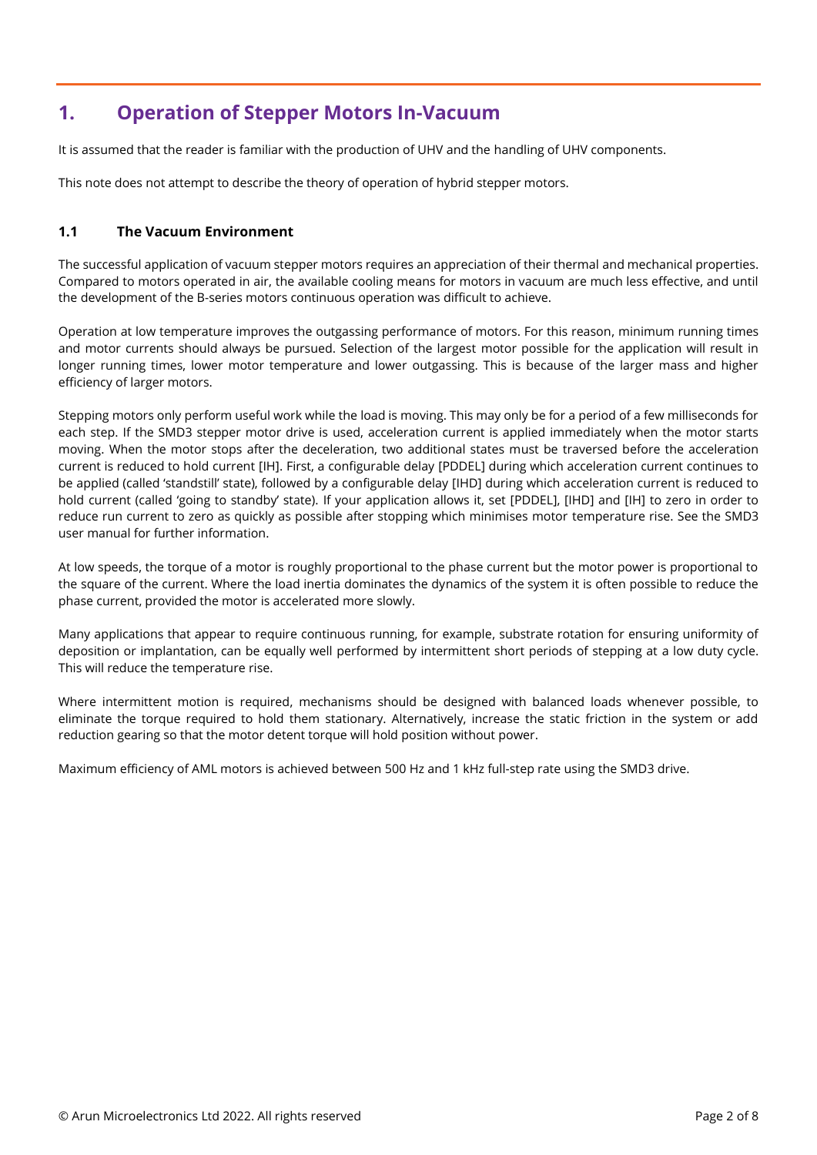# <span id="page-1-0"></span>**1. Operation of Stepper Motors In-Vacuum**

It is assumed that the reader is familiar with the production of UHV and the handling of UHV components.

This note does not attempt to describe the theory of operation of hybrid stepper motors.

### <span id="page-1-1"></span>**1.1 The Vacuum Environment**

The successful application of vacuum stepper motors requires an appreciation of their thermal and mechanical properties. Compared to motors operated in air, the available cooling means for motors in vacuum are much less effective, and until the development of the B-series motors continuous operation was difficult to achieve.

Operation at low temperature improves the outgassing performance of motors. For this reason, minimum running times and motor currents should always be pursued. Selection of the largest motor possible for the application will result in longer running times, lower motor temperature and lower outgassing. This is because of the larger mass and higher efficiency of larger motors.

Stepping motors only perform useful work while the load is moving. This may only be for a period of a few milliseconds for each step. If the SMD3 stepper motor drive is used, acceleration current is applied immediately when the motor starts moving. When the motor stops after the deceleration, two additional states must be traversed before the acceleration current is reduced to hold current [IH]. First, a configurable delay [PDDEL] during which acceleration current continues to be applied (called 'standstill' state), followed by a configurable delay [IHD] during which acceleration current is reduced to hold current (called 'going to standby' state). If your application allows it, set [PDDEL], [IHD] and [IH] to zero in order to reduce run current to zero as quickly as possible after stopping which minimises motor temperature rise. See the SMD3 user manual for further information.

At low speeds, the torque of a motor is roughly proportional to the phase current but the motor power is proportional to the square of the current. Where the load inertia dominates the dynamics of the system it is often possible to reduce the phase current, provided the motor is accelerated more slowly.

Many applications that appear to require continuous running, for example, substrate rotation for ensuring uniformity of deposition or implantation, can be equally well performed by intermittent short periods of stepping at a low duty cycle. This will reduce the temperature rise.

Where intermittent motion is required, mechanisms should be designed with balanced loads whenever possible, to eliminate the torque required to hold them stationary. Alternatively, increase the static friction in the system or add reduction gearing so that the motor detent torque will hold position without power.

Maximum efficiency of AML motors is achieved between 500 Hz and 1 kHz full-step rate using the SMD3 drive.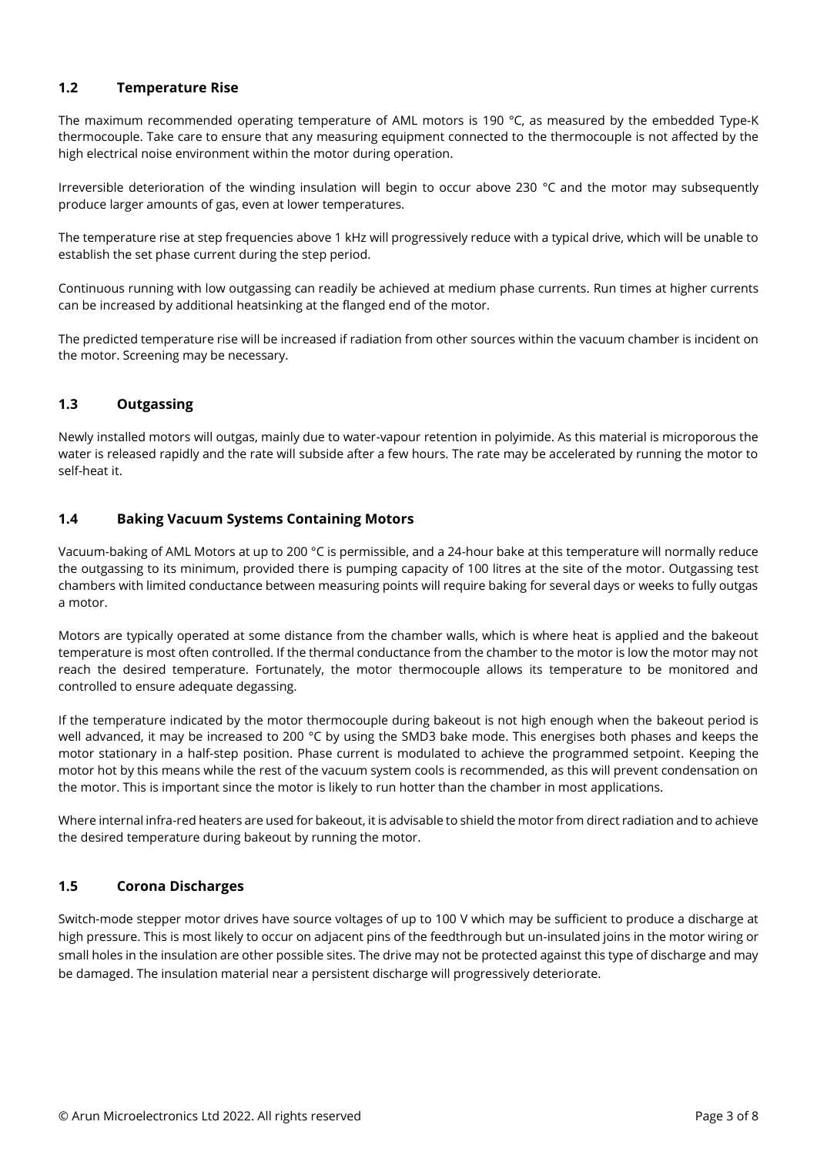## <span id="page-2-0"></span>**1.2 Temperature Rise**

The maximum recommended operating temperature of AML motors is 190 °C, as measured by the embedded Type-K thermocouple. Take care to ensure that any measuring equipment connected to the thermocouple is not affected by the high electrical noise environment within the motor during operation.

Irreversible deterioration of the winding insulation will begin to occur above 230 °C and the motor may subsequently produce larger amounts of gas, even at lower temperatures.

The temperature rise at step frequencies above 1 kHz will progressively reduce with a typical drive, which will be unable to establish the set phase current during the step period.

Continuous running with low outgassing can readily be achieved at medium phase currents. Run times at higher currents can be increased by additional heatsinking at the flanged end of the motor.

The predicted temperature rise will be increased if radiation from other sources within the vacuum chamber is incident on the motor. Screening may be necessary.

#### <span id="page-2-1"></span>**1.3 Outgassing**

Newly installed motors will outgas, mainly due to water-vapour retention in polyimide. As this material is microporous the water is released rapidly and the rate will subside after a few hours. The rate may be accelerated by running the motor to self-heat it.

#### <span id="page-2-2"></span>**1.4 Baking Vacuum Systems Containing Motors**

Vacuum-baking of AML Motors at up to 200 °C is permissible, and a 24-hour bake at this temperature will normally reduce the outgassing to its minimum, provided there is pumping capacity of 100 litres at the site of the motor. Outgassing test chambers with limited conductance between measuring points will require baking for several days or weeks to fully outgas a motor.

Motors are typically operated at some distance from the chamber walls, which is where heat is applied and the bakeout temperature is most often controlled. If the thermal conductance from the chamber to the motor is low the motor may not reach the desired temperature. Fortunately, the motor thermocouple allows its temperature to be monitored and controlled to ensure adequate degassing.

If the temperature indicated by the motor thermocouple during bakeout is not high enough when the bakeout period is well advanced, it may be increased to 200 °C by using the SMD3 bake mode. This energises both phases and keeps the motor stationary in a half-step position. Phase current is modulated to achieve the programmed setpoint. Keeping the motor hot by this means while the rest of the vacuum system cools is recommended, as this will prevent condensation on the motor. This is important since the motor is likely to run hotter than the chamber in most applications.

Where internal infra-red heaters are used for bakeout, it is advisable to shield the motor from direct radiation and to achieve the desired temperature during bakeout by running the motor.

#### <span id="page-2-3"></span>**1.5 Corona Discharges**

Switch-mode stepper motor drives have source voltages of up to 100 V which may be sufficient to produce a discharge at high pressure. This is most likely to occur on adjacent pins of the feedthrough but un-insulated joins in the motor wiring or small holes in the insulation are other possible sites. The drive may not be protected against this type of discharge and may be damaged. The insulation material near a persistent discharge will progressively deteriorate.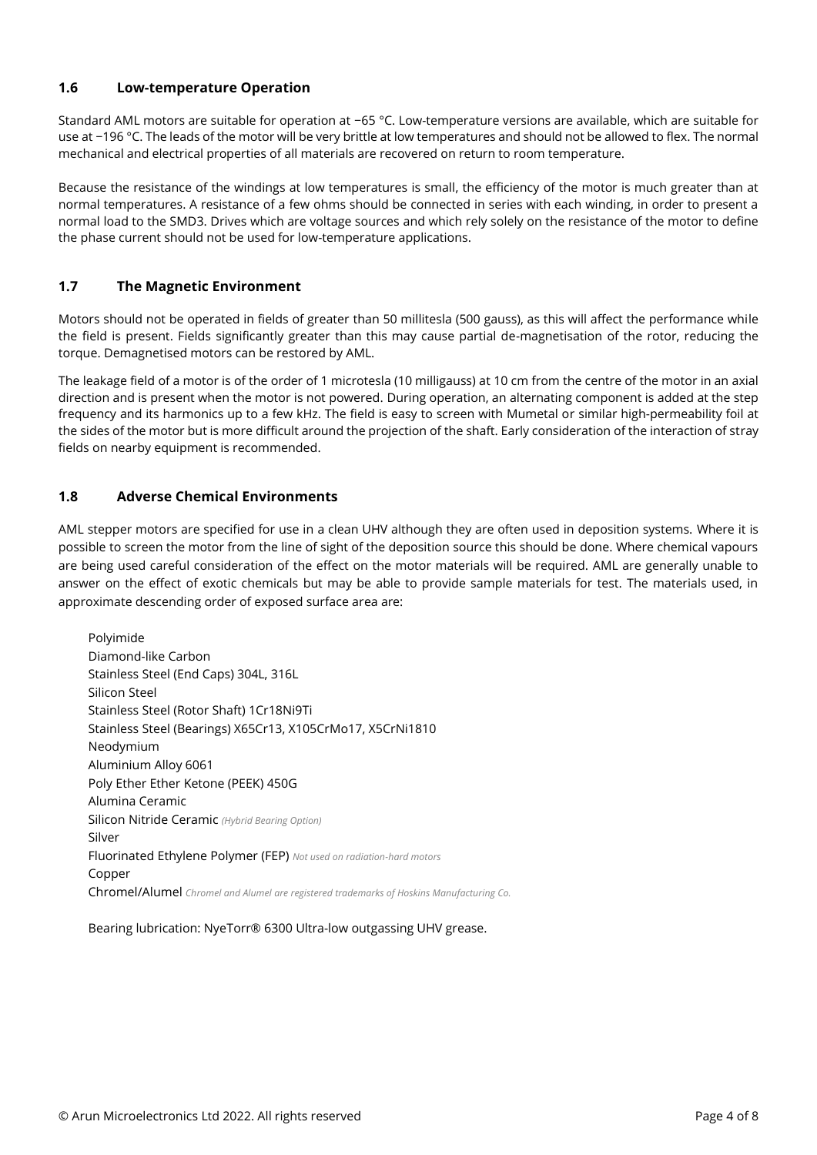#### <span id="page-3-0"></span>**1.6 Low-temperature Operation**

Standard AML motors are suitable for operation at −65 °C. Low-temperature versions are available, which are suitable for use at −196 °C. The leads of the motor will be very brittle at low temperatures and should not be allowed to flex. The normal mechanical and electrical properties of all materials are recovered on return to room temperature.

Because the resistance of the windings at low temperatures is small, the efficiency of the motor is much greater than at normal temperatures. A resistance of a few ohms should be connected in series with each winding, in order to present a normal load to the SMD3. Drives which are voltage sources and which rely solely on the resistance of the motor to define the phase current should not be used for low-temperature applications.

#### <span id="page-3-1"></span>**1.7 The Magnetic Environment**

Motors should not be operated in fields of greater than 50 millitesla (500 gauss), as this will affect the performance while the field is present. Fields significantly greater than this may cause partial de-magnetisation of the rotor, reducing the torque. Demagnetised motors can be restored by AML.

The leakage field of a motor is of the order of 1 microtesla (10 milligauss) at 10 cm from the centre of the motor in an axial direction and is present when the motor is not powered. During operation, an alternating component is added at the step frequency and its harmonics up to a few kHz. The field is easy to screen with Mumetal or similar high-permeability foil at the sides of the motor but is more difficult around the projection of the shaft. Early consideration of the interaction of stray fields on nearby equipment is recommended.

#### <span id="page-3-2"></span>**1.8 Adverse Chemical Environments**

AML stepper motors are specified for use in a clean UHV although they are often used in deposition systems. Where it is possible to screen the motor from the line of sight of the deposition source this should be done. Where chemical vapours are being used careful consideration of the effect on the motor materials will be required. AML are generally unable to answer on the effect of exotic chemicals but may be able to provide sample materials for test. The materials used, in approximate descending order of exposed surface area are:

Polyimide Diamond-like Carbon Stainless Steel (End Caps) 304L, 316L Silicon Steel Stainless Steel (Rotor Shaft) 1Cr18Ni9Ti Stainless Steel (Bearings) X65Cr13, X105CrMo17, X5CrNi1810 Neodymium Aluminium Alloy 6061 Poly Ether Ether Ketone (PEEK) 450G Alumina Ceramic Silicon Nitride Ceramic *(Hybrid Bearing Option)* Silver Fluorinated Ethylene Polymer (FEP) *Not used on radiation-hard motors* Copper Chromel/Alumel *Chromel and Alumel are registered trademarks of Hoskins Manufacturing Co.*

Bearing lubrication: NyeTorr® 6300 Ultra-low outgassing UHV grease.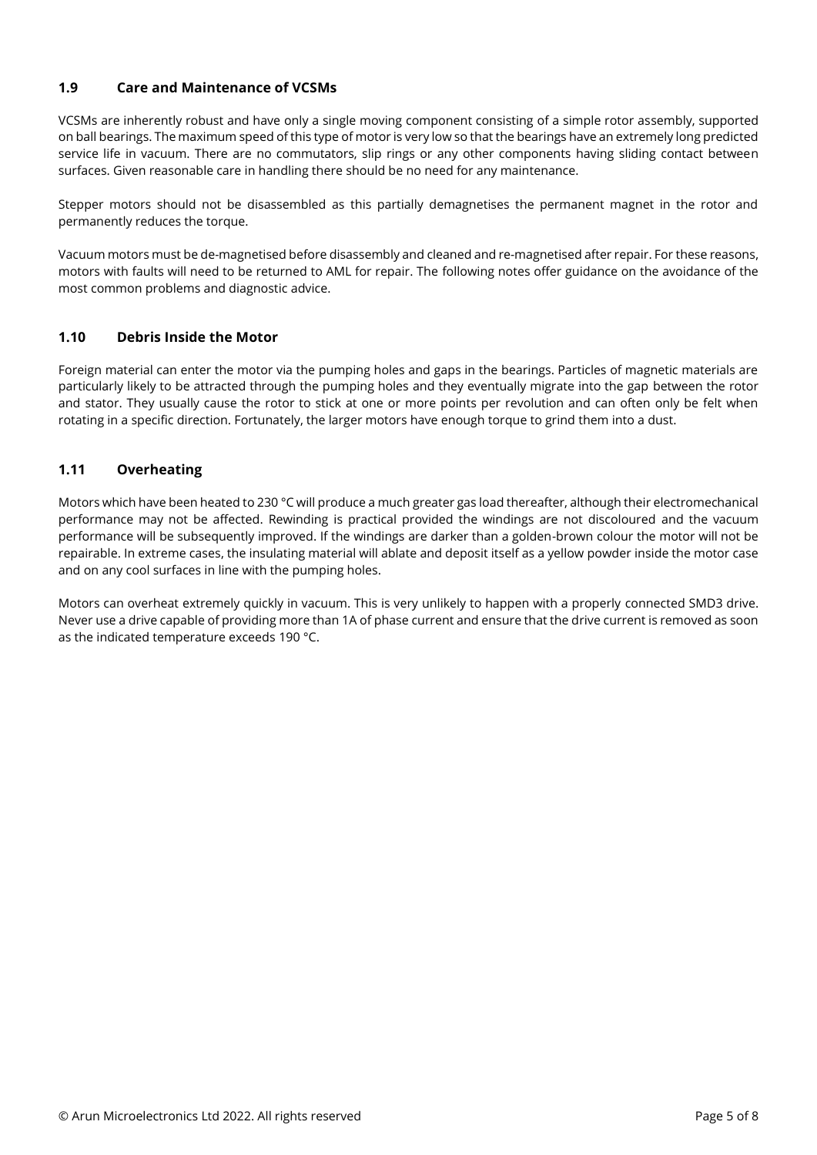### <span id="page-4-0"></span>**1.9 Care and Maintenance of VCSMs**

VCSMs are inherently robust and have only a single moving component consisting of a simple rotor assembly, supported on ball bearings. The maximum speed of this type of motor is very low so that the bearings have an extremely long predicted service life in vacuum. There are no commutators, slip rings or any other components having sliding contact between surfaces. Given reasonable care in handling there should be no need for any maintenance.

Stepper motors should not be disassembled as this partially demagnetises the permanent magnet in the rotor and permanently reduces the torque.

Vacuum motors must be de-magnetised before disassembly and cleaned and re-magnetised after repair. For these reasons, motors with faults will need to be returned to AML for repair. The following notes offer guidance on the avoidance of the most common problems and diagnostic advice.

#### <span id="page-4-1"></span>**1.10 Debris Inside the Motor**

Foreign material can enter the motor via the pumping holes and gaps in the bearings. Particles of magnetic materials are particularly likely to be attracted through the pumping holes and they eventually migrate into the gap between the rotor and stator. They usually cause the rotor to stick at one or more points per revolution and can often only be felt when rotating in a specific direction. Fortunately, the larger motors have enough torque to grind them into a dust.

## <span id="page-4-2"></span>**1.11 Overheating**

Motors which have been heated to 230 °C will produce a much greater gas load thereafter, although their electromechanical performance may not be affected. Rewinding is practical provided the windings are not discoloured and the vacuum performance will be subsequently improved. If the windings are darker than a golden-brown colour the motor will not be repairable. In extreme cases, the insulating material will ablate and deposit itself as a yellow powder inside the motor case and on any cool surfaces in line with the pumping holes.

Motors can overheat extremely quickly in vacuum. This is very unlikely to happen with a properly connected SMD3 drive. Never use a drive capable of providing more than 1A of phase current and ensure that the drive current is removed as soon as the indicated temperature exceeds 190 °C.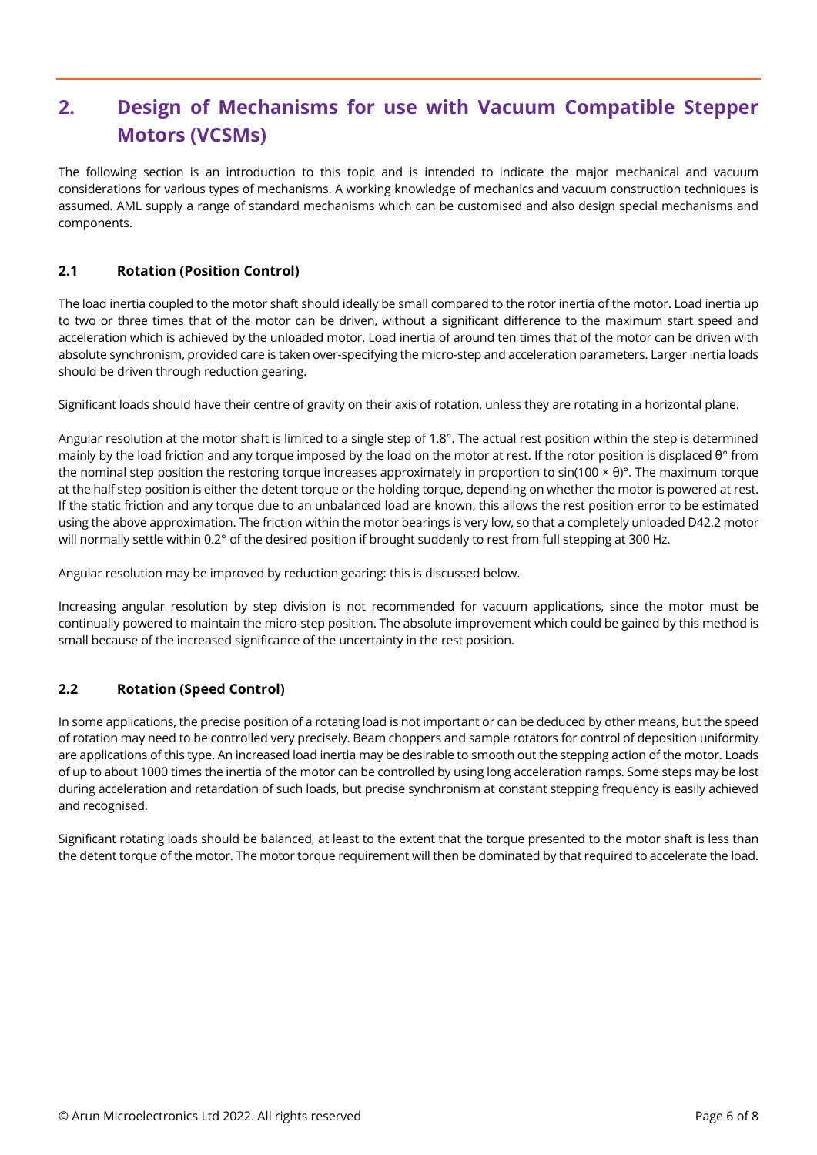# <span id="page-5-0"></span>**2. Design of Mechanisms for use with Vacuum Compatible Stepper Motors (VCSMs)**

The following section is an introduction to this topic and is intended to indicate the major mechanical and vacuum considerations for various types of mechanisms. A working knowledge of mechanics and vacuum construction techniques is assumed. AML supply a range of standard mechanisms which can be customised and also design special mechanisms and components.

# <span id="page-5-1"></span>**2.1 Rotation (Position Control)**

The load inertia coupled to the motor shaft should ideally be small compared to the rotor inertia of the motor. Load inertia up to two or three times that of the motor can be driven, without a significant difference to the maximum start speed and acceleration which is achieved by the unloaded motor. Load inertia of around ten times that of the motor can be driven with absolute synchronism, provided care is taken over-specifying the micro-step and acceleration parameters. Larger inertia loads should be driven through reduction gearing.

Significant loads should have their centre of gravity on their axis of rotation, unless they are rotating in a horizontal plane.

Angular resolution at the motor shaft is limited to a single step of 1.8°. The actual rest position within the step is determined mainly by the load friction and any torque imposed by the load on the motor at rest. If the rotor position is displaced θ° from the nominal step position the restoring torque increases approximately in proportion to sin(100 × θ)°. The maximum torque at the half step position is either the detent torque or the holding torque, depending on whether the motor is powered at rest. If the static friction and any torque due to an unbalanced load are known, this allows the rest position error to be estimated using the above approximation. The friction within the motor bearings is very low, so that a completely unloaded D42.2 motor will normally settle within 0.2° of the desired position if brought suddenly to rest from full stepping at 300 Hz.

Angular resolution may be improved by reduction gearing: this is discussed below.

Increasing angular resolution by step division is not recommended for vacuum applications, since the motor must be continually powered to maintain the micro-step position. The absolute improvement which could be gained by this method is small because of the increased significance of the uncertainty in the rest position.

## <span id="page-5-2"></span>**2.2 Rotation (Speed Control)**

In some applications, the precise position of a rotating load is not important or can be deduced by other means, but the speed of rotation may need to be controlled very precisely. Beam choppers and sample rotators for control of deposition uniformity are applications of this type. An increased load inertia may be desirable to smooth out the stepping action of the motor. Loads of up to about 1000 times the inertia of the motor can be controlled by using long acceleration ramps. Some steps may be lost during acceleration and retardation of such loads, but precise synchronism at constant stepping frequency is easily achieved and recognised.

Significant rotating loads should be balanced, at least to the extent that the torque presented to the motor shaft is less than the detent torque of the motor. The motor torque requirement will then be dominated by that required to accelerate the load.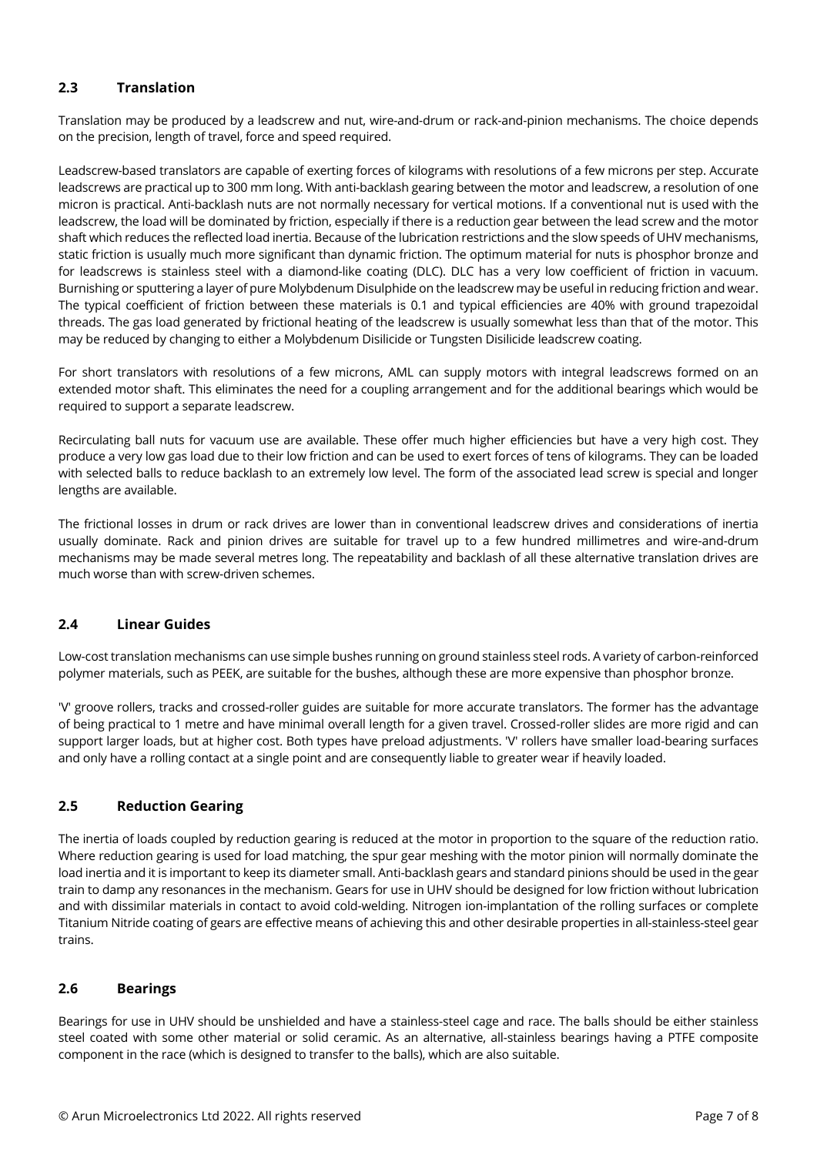# <span id="page-6-0"></span>**2.3 Translation**

Translation may be produced by a leadscrew and nut, wire-and-drum or rack-and-pinion mechanisms. The choice depends on the precision, length of travel, force and speed required.

Leadscrew-based translators are capable of exerting forces of kilograms with resolutions of a few microns per step. Accurate leadscrews are practical up to 300 mm long. With anti-backlash gearing between the motor and leadscrew, a resolution of one micron is practical. Anti-backlash nuts are not normally necessary for vertical motions. If a conventional nut is used with the leadscrew, the load will be dominated by friction, especially if there is a reduction gear between the lead screw and the motor shaft which reduces the reflected load inertia. Because of the lubrication restrictions and the slow speeds of UHV mechanisms, static friction is usually much more significant than dynamic friction. The optimum material for nuts is phosphor bronze and for leadscrews is stainless steel with a diamond-like coating (DLC). DLC has a very low coefficient of friction in vacuum. Burnishing or sputtering a layer of pure Molybdenum Disulphide on the leadscrew may be useful in reducing friction and wear. The typical coefficient of friction between these materials is 0.1 and typical efficiencies are 40% with ground trapezoidal threads. The gas load generated by frictional heating of the leadscrew is usually somewhat less than that of the motor. This may be reduced by changing to either a Molybdenum Disilicide or Tungsten Disilicide leadscrew coating.

For short translators with resolutions of a few microns, AML can supply motors with integral leadscrews formed on an extended motor shaft. This eliminates the need for a coupling arrangement and for the additional bearings which would be required to support a separate leadscrew.

Recirculating ball nuts for vacuum use are available. These offer much higher efficiencies but have a very high cost. They produce a very low gas load due to their low friction and can be used to exert forces of tens of kilograms. They can be loaded with selected balls to reduce backlash to an extremely low level. The form of the associated lead screw is special and longer lengths are available.

The frictional losses in drum or rack drives are lower than in conventional leadscrew drives and considerations of inertia usually dominate. Rack and pinion drives are suitable for travel up to a few hundred millimetres and wire-and-drum mechanisms may be made several metres long. The repeatability and backlash of all these alternative translation drives are much worse than with screw-driven schemes.

## <span id="page-6-1"></span>**2.4 Linear Guides**

Low-cost translation mechanisms can use simple bushes running on ground stainless steel rods. A variety of carbon-reinforced polymer materials, such as PEEK, are suitable for the bushes, although these are more expensive than phosphor bronze.

'V' groove rollers, tracks and crossed-roller guides are suitable for more accurate translators. The former has the advantage of being practical to 1 metre and have minimal overall length for a given travel. Crossed-roller slides are more rigid and can support larger loads, but at higher cost. Both types have preload adjustments. 'V' rollers have smaller load-bearing surfaces and only have a rolling contact at a single point and are consequently liable to greater wear if heavily loaded.

## <span id="page-6-2"></span>**2.5 Reduction Gearing**

The inertia of loads coupled by reduction gearing is reduced at the motor in proportion to the square of the reduction ratio. Where reduction gearing is used for load matching, the spur gear meshing with the motor pinion will normally dominate the load inertia and it is important to keep its diameter small. Anti-backlash gears and standard pinions should be used in the gear train to damp any resonances in the mechanism. Gears for use in UHV should be designed for low friction without lubrication and with dissimilar materials in contact to avoid cold-welding. Nitrogen ion-implantation of the rolling surfaces or complete Titanium Nitride coating of gears are effective means of achieving this and other desirable properties in all-stainless-steel gear trains.

#### <span id="page-6-3"></span>**2.6 Bearings**

Bearings for use in UHV should be unshielded and have a stainless-steel cage and race. The balls should be either stainless steel coated with some other material or solid ceramic. As an alternative, all-stainless bearings having a PTFE composite component in the race (which is designed to transfer to the balls), which are also suitable.